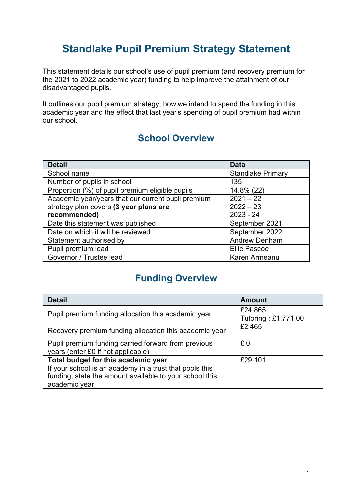## **Standlake Pupil Premium Strategy Statement**

This statement details our school's use of pupil premium (and recovery premium for the 2021 to 2022 academic year) funding to help improve the attainment of our disadvantaged pupils.

It outlines our pupil premium strategy, how we intend to spend the funding in this academic year and the effect that last year's spending of pupil premium had within our school.

### **School Overview**

| <b>Detail</b>                                      | <b>Data</b>              |
|----------------------------------------------------|--------------------------|
| School name                                        | <b>Standlake Primary</b> |
| Number of pupils in school                         | 135                      |
| Proportion (%) of pupil premium eligible pupils    | 14.8% (22)               |
| Academic year/years that our current pupil premium | $2021 - 22$              |
| strategy plan covers (3 year plans are             | $2022 - 23$              |
| recommended)                                       | $2023 - 24$              |
| Date this statement was published                  | September 2021           |
| Date on which it will be reviewed                  | September 2022           |
| Statement authorised by                            | <b>Andrew Denham</b>     |
| Pupil premium lead                                 | <b>Ellie Pascoe</b>      |
| Governor / Trustee lead                            | Karen Armeanu            |

## **Funding Overview**

| <b>Detail</b>                                                                                                                                                              | <b>Amount</b>                  |
|----------------------------------------------------------------------------------------------------------------------------------------------------------------------------|--------------------------------|
| Pupil premium funding allocation this academic year                                                                                                                        | £24,865<br>Tutoring: £1,771.00 |
| Recovery premium funding allocation this academic year                                                                                                                     | £2,465                         |
| Pupil premium funding carried forward from previous<br>years (enter £0 if not applicable)                                                                                  | £0                             |
| Total budget for this academic year<br>If your school is an academy in a trust that pools this<br>funding, state the amount available to your school this<br>academic year | £29,101                        |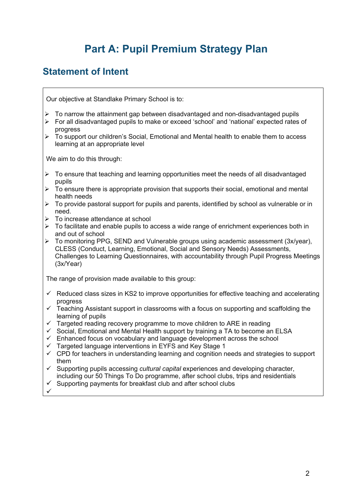## **Part A: Pupil Premium Strategy Plan**

### **Statement of Intent**

Our objective at Standlake Primary School is to:

- $\triangleright$  To narrow the attainment gap between disadvantaged and non-disadvantaged pupils
- Ø For all disadvantaged pupils to make or exceed 'school' and 'national' expected rates of progress
- $\triangleright$  To support our children's Social, Emotional and Mental health to enable them to access learning at an appropriate level

We aim to do this through:

- $\triangleright$  To ensure that teaching and learning opportunities meet the needs of all disadvantaged pupils
- $\triangleright$  To ensure there is appropriate provision that supports their social, emotional and mental health needs
- $\triangleright$  To provide pastoral support for pupils and parents, identified by school as vulnerable or in need.
- $\triangleright$  To increase attendance at school
- $\triangleright$  To facilitate and enable pupils to access a wide range of enrichment experiences both in and out of school
- Ø To monitoring PPG, SEND and Vulnerable groups using academic assessment (3x/year), CLESS (Conduct, Learning, Emotional, Social and Sensory Needs) Assessments, Challenges to Learning Questionnaires, with accountability through Pupil Progress Meetings (3x/Year)

The range of provision made available to this group:

- $\checkmark$  Reduced class sizes in KS2 to improve opportunities for effective teaching and accelerating progress
- $\checkmark$  Teaching Assistant support in classrooms with a focus on supporting and scaffolding the learning of pupils
- $\checkmark$  Targeted reading recovery programme to move children to ARE in reading
- $\checkmark$  Social, Emotional and Mental Health support by training a TA to become an ELSA
- $\checkmark$  Enhanced focus on vocabulary and language development across the school
- $\checkmark$  Targeted language interventions in EYFS and Key Stage 1
- $\checkmark$  CPD for teachers in understanding learning and cognition needs and strategies to support them
- ü Supporting pupils accessing *cultural capital* experiences and developing character, including our 50 Things To Do programme, after school clubs, trips and residentials
- $\checkmark$  Supporting payments for breakfast club and after school clubs
- ü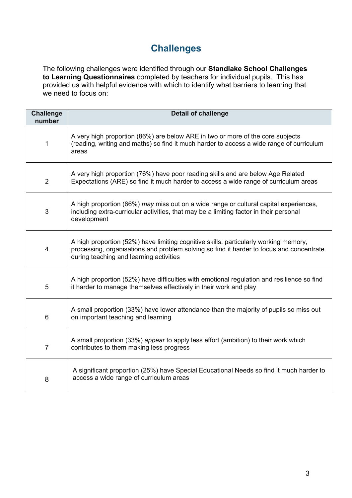## **Challenges**

The following challenges were identified through our **Standlake School Challenges to Learning Questionnaires** completed by teachers for individual pupils. This has provided us with helpful evidence with which to identify what barriers to learning that we need to focus on:

| <b>Challenge</b><br>number | <b>Detail of challenge</b>                                                                                                                                                                                                  |
|----------------------------|-----------------------------------------------------------------------------------------------------------------------------------------------------------------------------------------------------------------------------|
| 1                          | A very high proportion (86%) are below ARE in two or more of the core subjects<br>(reading, writing and maths) so find it much harder to access a wide range of curriculum<br>areas                                         |
| $\overline{2}$             | A very high proportion (76%) have poor reading skills and are below Age Related<br>Expectations (ARE) so find it much harder to access a wide range of curriculum areas                                                     |
| 3                          | A high proportion (66%) may miss out on a wide range or cultural capital experiences,<br>including extra-curricular activities, that may be a limiting factor in their personal<br>development                              |
| $\overline{4}$             | A high proportion (52%) have limiting cognitive skills, particularly working memory,<br>processing, organisations and problem solving so find it harder to focus and concentrate<br>during teaching and learning activities |
| 5                          | A high proportion (52%) have difficulties with emotional regulation and resilience so find<br>it harder to manage themselves effectively in their work and play                                                             |
| $6\phantom{1}$             | A small proportion (33%) have lower attendance than the majority of pupils so miss out<br>on important teaching and learning                                                                                                |
| $\overline{7}$             | A small proportion (33%) appear to apply less effort (ambition) to their work which<br>contributes to them making less progress                                                                                             |
| 8                          | A significant proportion (25%) have Special Educational Needs so find it much harder to<br>access a wide range of curriculum areas                                                                                          |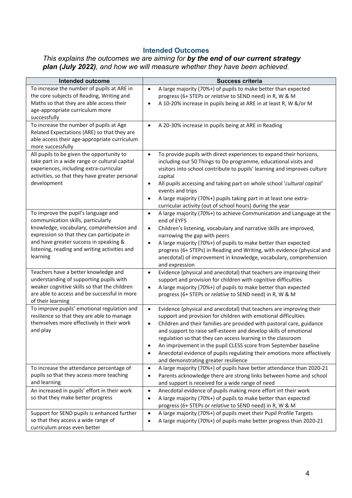### **Intended Outcomes**

*This explains the outcomes we are aiming for by the end of our current strategy plan (July 2022), and how we will measure whether they have been achieved.*

| Intended outcome                                                                        | <b>Success criteria</b>                                                                                         |
|-----------------------------------------------------------------------------------------|-----------------------------------------------------------------------------------------------------------------|
| To increase the number of pupils at ARE in                                              | A large majority (70%+) of pupils to make better than expected<br>$\bullet$                                     |
| the core subjects of Reading, Writing and                                               | progress (6+ STEPs or relative to SEND need) in R, W & M                                                        |
| Maths so that they are able access their                                                | A 10-20% increase in pupils being at ARE in at least R, W &/or M<br>$\bullet$                                   |
| age-appropriate curriculum more                                                         |                                                                                                                 |
| successfully                                                                            |                                                                                                                 |
| To increase the number of pupils at Age<br>Related Expectations (ARE) so that they are  | A 20-30% increase in pupils being at ARE in Reading<br>$\bullet$                                                |
| able access their age-appropriate curriculum                                            |                                                                                                                 |
| more successfully                                                                       |                                                                                                                 |
| All pupils to be given the opportunity to                                               | To provide pupils with direct experiences to expand their horizons,<br>$\bullet$                                |
| take part in a wide range or cultural capital                                           | including out 50 Things to Do programme, educational visits and                                                 |
| experiences, including extra-curricular                                                 | visitors into school contribute to pupils' learning and improves culture                                        |
| activities, so that they have greater personal                                          | capital                                                                                                         |
| development                                                                             | All pupils accessing and taking part on whole school 'cultural capital'<br>$\bullet$                            |
|                                                                                         | events and trips                                                                                                |
|                                                                                         | A large majority (70%+) pupils taking part in at least one extra-<br>$\bullet$                                  |
|                                                                                         | curricular activity (out of school hours) during the year                                                       |
| To improve the pupil's language and                                                     | A large majority (70%+) to achieve Communication and Language at the<br>$\bullet$                               |
| communication skills, particularly                                                      | end of EYFS                                                                                                     |
| knowledge, vocabulary, comprehension and                                                | Children's listening, vocabulary and narrative skills are improved,<br>$\bullet$                                |
| expression so that they can participate in                                              | narrowing the gap with peers                                                                                    |
| and have greater success in speaking &<br>listening, reading and writing activities and | A large majority (70%+) of pupils to make better than expected<br>$\bullet$                                     |
| learning                                                                                | progress (6+ STEPs) in Reading and Writing, with evidence (physical and                                         |
|                                                                                         | anecdotal) of improvement in knowledge, vocabulary, comprehension<br>and expression                             |
| Teachers have a better knowledge and                                                    | Evidence (physical and anecdotal) that teachers are improving their<br>$\bullet$                                |
| understanding of supporting pupils with                                                 | support and provision for children with cognitive difficulties                                                  |
| weaker cognitive skills so that the children                                            | A large majority (70%+) of pupils to make better than expected<br>$\bullet$                                     |
| are able to access and be successful in more                                            | progress (6+ STEPs or relative to SEND need) in R, W & M                                                        |
| of their learning                                                                       |                                                                                                                 |
| To improve pupils' emotional regulation and                                             | Evidence (physical and anecdotal) that teachers are improving their<br>$\bullet$                                |
| resilience so that they are able to manage                                              | support and provision for children with emotional difficulties                                                  |
| themselves more effectively in their work                                               | Children and their families are provided with pastoral care, guidance<br>$\bullet$                              |
| and play                                                                                | and support to raise self-esteem and develop skills of emotional                                                |
|                                                                                         | regulation so that they can access learning in the classroom                                                    |
|                                                                                         | An improvement in the pupil CLESS score from September baseline                                                 |
|                                                                                         | Anecdotal evidence of pupils regulating their emotions more effectively<br>and demonstrating greater resilience |
| To increase the attendance percentage of                                                | A large majority (70%+) of pupils have better attendance than 2020-21<br>$\bullet$                              |
| pupils so that they access more teaching                                                | Parents acknowledge there are strong links between home and school<br>$\bullet$                                 |
| and learning                                                                            | and support is received for a wide range of need                                                                |
| An increased in pupils' effort in their work                                            | Anecdotal evidence of pupils making more effort int their work<br>$\bullet$                                     |
| so that they make better progress                                                       | A large majority (70%+) of pupils to make better than expected<br>$\bullet$                                     |
|                                                                                         | progress (6+ STEPs or relative to SEND need) in R, W & M                                                        |
| Support for SEND pupils is enhanced further                                             | A large majority (70%+) of pupils meet their Pupil Profile Targets<br>$\bullet$                                 |
| so that they access a wide range of                                                     | A large majority (70%+) of pupils make better progress than 2020-21<br>$\bullet$                                |
| curriculum areas even better                                                            |                                                                                                                 |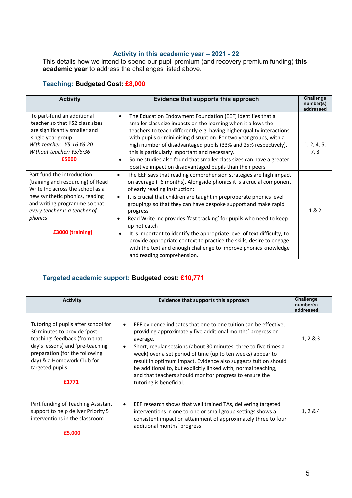#### **Activity in this academic year – 2021 - 22**

This details how we intend to spend our pupil premium (and recovery premium funding) **this academic year** to address the challenges listed above.

### **Teaching: Budgeted Cost: £8,000**

| <b>Activity</b>                                                                                                                                                                                                                        | Evidence that supports this approach                                                                                                                                                                                                                                                                                                                                                                                                                                                                                                                                                                                                                                                                                | <b>Challenge</b><br>number(s)<br>addressed |
|----------------------------------------------------------------------------------------------------------------------------------------------------------------------------------------------------------------------------------------|---------------------------------------------------------------------------------------------------------------------------------------------------------------------------------------------------------------------------------------------------------------------------------------------------------------------------------------------------------------------------------------------------------------------------------------------------------------------------------------------------------------------------------------------------------------------------------------------------------------------------------------------------------------------------------------------------------------------|--------------------------------------------|
| To part-fund an additional<br>teacher so that KS2 class sizes<br>are significantly smaller and<br>single year group<br>With teacher: Y5:16 Y6:20<br>Without teacher: Y5/6:36<br>£5000                                                  | The Education Endowment Foundation (EEF) identifies that a<br>$\bullet$<br>smaller class size impacts on the learning when it allows the<br>teachers to teach differently e.g. having higher quality interactions<br>with pupils or minimising disruption. For two year groups, with a<br>high number of disadvantaged pupils (33% and 25% respectively),<br>this is particularly important and necessary.<br>Some studies also found that smaller class sizes can have a greater<br>positive impact on disadvantaged pupils than their peers                                                                                                                                                                       | 1, 2, 4, 5,<br>7,8                         |
| Part fund the introduction<br>(training and resourcing) of Read<br>Write Inc across the school as a<br>new synthetic phonics, reading<br>and writing programme so that<br>every teacher is a teacher of<br>phonics<br>£3000 (training) | The EEF says that reading comprehension strategies are high impact<br>$\bullet$<br>on average (+6 months). Alongside phonics it is a crucial component<br>of early reading instruction:<br>It is crucial that children are taught in preproperate phonics level<br>$\bullet$<br>groupings so that they can have bespoke support and make rapid<br>progress<br>Read Write Inc provides 'fast tracking' for pupils who need to keep<br>$\bullet$<br>up not catch<br>It is important to identify the appropriate level of text difficulty, to<br>provide appropriate context to practice the skills, desire to engage<br>with the text and enough challenge to improve phonics knowledge<br>and reading comprehension. | 1&2                                        |

#### **Targeted academic support: Budgeted cost: £10,771**

| <b>Activity</b>                                                                                                                                                                                                                       | Evidence that supports this approach                                                                                                                                                                                                                                                                                                                                                                                                                                                                                        | Challenge<br>number(s)<br>addressed |
|---------------------------------------------------------------------------------------------------------------------------------------------------------------------------------------------------------------------------------------|-----------------------------------------------------------------------------------------------------------------------------------------------------------------------------------------------------------------------------------------------------------------------------------------------------------------------------------------------------------------------------------------------------------------------------------------------------------------------------------------------------------------------------|-------------------------------------|
| Tutoring of pupils after school for<br>30 minutes to provide 'post-<br>teaching' feedback (from that<br>day's lessons) and 'pre-teaching'<br>preparation (for the following<br>day) & a Homework Club for<br>targeted pupils<br>£1771 | EEF evidence indicates that one to one tuition can be effective.<br>$\bullet$<br>providing approximately five additional months' progress on<br>average.<br>Short, regular sessions (about 30 minutes, three to five times a<br>٠<br>week) over a set period of time (up to ten weeks) appear to<br>result in optimum impact. Evidence also suggests tuition should<br>be additional to, but explicitly linked with, normal teaching,<br>and that teachers should monitor progress to ensure the<br>tutoring is beneficial. | 1, 2 & 8 & 3                        |
| Part funding of Teaching Assistant<br>support to help deliver Priority 5<br>interventions in the classroom<br>£5,000                                                                                                                  | EEF research shows that well trained TAs, delivering targeted<br>٠<br>interventions in one to-one or small group settings shows a<br>consistent impact on attainment of approximately three to four<br>additional months' progress                                                                                                                                                                                                                                                                                          | 1, 2 & 4                            |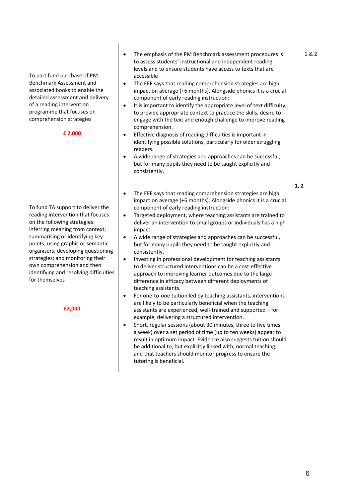| To part fund purchase of PM<br>Benchmark Assessment and<br>associated books to enable the<br>detailed assessment and delivery<br>of a reading intervention<br>programme that focuses on<br>comprehension strategies<br>£ 2,000                                                                                                                                                                 | The emphasis of the PM Benchmark assessment procedures is<br>to assess students' instructional and independent reading<br>levels and to ensure students have access to texts that are<br>accessible<br>The EEF says that reading comprehension strategies are high<br>$\bullet$<br>impact on average (+6 months). Alongside phonics it is a crucial<br>component of early reading instruction:<br>It is important to identify the appropriate level of text difficulty,<br>$\bullet$<br>to provide appropriate context to practice the skills, desire to<br>engage with the text and enough challenge to improve reading<br>comprehension.<br>Effective diagnosis of reading difficulties is important in<br>$\bullet$<br>identifying possible solutions, particularly for older struggling<br>readers.<br>A wide range of strategies and approaches can be successful,<br>$\bullet$<br>but for many pupils they need to be taught explicitly and<br>consistently.                                                                                                                                                                                                                                                                                                                                                                                                                                                                 | 1 & 2 |
|------------------------------------------------------------------------------------------------------------------------------------------------------------------------------------------------------------------------------------------------------------------------------------------------------------------------------------------------------------------------------------------------|------------------------------------------------------------------------------------------------------------------------------------------------------------------------------------------------------------------------------------------------------------------------------------------------------------------------------------------------------------------------------------------------------------------------------------------------------------------------------------------------------------------------------------------------------------------------------------------------------------------------------------------------------------------------------------------------------------------------------------------------------------------------------------------------------------------------------------------------------------------------------------------------------------------------------------------------------------------------------------------------------------------------------------------------------------------------------------------------------------------------------------------------------------------------------------------------------------------------------------------------------------------------------------------------------------------------------------------------------------------------------------------------------------------------------------|-------|
| To fund TA support to deliver the<br>reading intervention that focuses<br>on the following strategies:<br>inferring meaning from context;<br>summarising or identifying key<br>points; using graphic or semantic<br>organisers; developing questioning<br>strategies; and monitoring their<br>own comprehension and then<br>identifying and resolving difficulties<br>for themselves<br>£2,000 | The EEF says that reading comprehension strategies are high<br>٠<br>impact on average (+6 months). Alongside phonics it is a crucial<br>component of early reading instruction:<br>Targeted deployment, where teaching assistants are trained to<br>$\bullet$<br>deliver an intervention to small groups or individuals has a high<br>impact:<br>A wide range of strategies and approaches can be successful,<br>$\bullet$<br>but for many pupils they need to be taught explicitly and<br>consistently.<br>Investing in professional development for teaching assistants<br>$\bullet$<br>to deliver structured interventions can be a cost-effective<br>approach to improving learner outcomes due to the large<br>difference in efficacy between different deployments of<br>teaching assistants.<br>For one-to-one tuition led by teaching assistants, interventions<br>are likely to be particularly beneficial when the teaching<br>assistants are experienced, well-trained and supported - for<br>example, delivering a structured intervention.<br>Short, regular sessions (about 30 minutes, three to five times<br>$\bullet$<br>a week) over a set period of time (up to ten weeks) appear to<br>result in optimum impact. Evidence also suggests tuition should<br>be additional to, but explicitly linked with, normal teaching,<br>and that teachers should monitor progress to ensure the<br>tutoring is beneficial. | 1, 2  |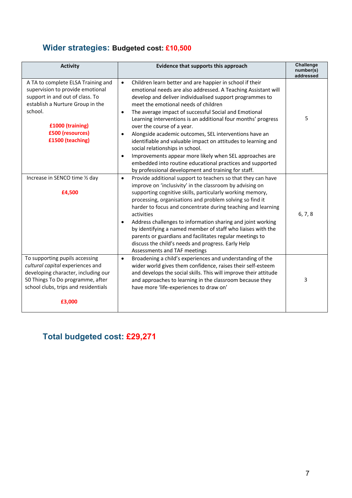## **Wider strategies: Budgeted cost: £10,500**

| <b>Activity</b>                                                                                                                                                                                                      | Evidence that supports this approach                                                                                                                                                                                                                                                                                                                                                                                                                                                                                                                                                                                                                                                                                                                                      | <b>Challenge</b><br>number(s)<br>addressed |
|----------------------------------------------------------------------------------------------------------------------------------------------------------------------------------------------------------------------|---------------------------------------------------------------------------------------------------------------------------------------------------------------------------------------------------------------------------------------------------------------------------------------------------------------------------------------------------------------------------------------------------------------------------------------------------------------------------------------------------------------------------------------------------------------------------------------------------------------------------------------------------------------------------------------------------------------------------------------------------------------------------|--------------------------------------------|
| A TA to complete ELSA Training and<br>supervision to provide emotional<br>support in and out of class. To<br>establish a Nurture Group in the<br>school.<br>£1000 (training)<br>£500 (resources)<br>£1500 (teaching) | Children learn better and are happier in school if their<br>$\bullet$<br>emotional needs are also addressed. A Teaching Assistant will<br>develop and deliver individualised support programmes to<br>meet the emotional needs of children<br>The average impact of successful Social and Emotional<br>$\bullet$<br>Learning interventions is an additional four months' progress<br>over the course of a year.<br>Alongside academic outcomes, SEL interventions have an<br>identifiable and valuable impact on attitudes to learning and<br>social relationships in school.<br>Improvements appear more likely when SEL approaches are<br>$\bullet$<br>embedded into routine educational practices and supported<br>by professional development and training for staff. | 5                                          |
| Increase in SENCO time 1/2 day<br>£4,500                                                                                                                                                                             | Provide additional support to teachers so that they can have<br>$\bullet$<br>improve on 'inclusivity' in the classroom by advising on<br>supporting cognitive skills, particularly working memory,<br>processing, organisations and problem solving so find it<br>harder to focus and concentrate during teaching and learning<br>activities<br>Address challenges to information sharing and joint working<br>by identifying a named member of staff who liaises with the<br>parents or guardians and facilitates regular meetings to<br>discuss the child's needs and progress. Early Help<br>Assessments and TAF meetings                                                                                                                                              | 6, 7, 8                                    |
| To supporting pupils accessing<br>cultural capital experiences and<br>developing character, including our<br>50 Things To Do programme, after<br>school clubs, trips and residentials<br>£3,000                      | Broadening a child's experiences and understanding of the<br>$\bullet$<br>wider world gives them confidence, raises their self-esteem<br>and develops the social skills. This will improve their attitude<br>and approaches to learning in the classroom because they<br>have more 'life-experiences to draw on'                                                                                                                                                                                                                                                                                                                                                                                                                                                          | $\overline{3}$                             |

# **Total budgeted cost: £29,271**